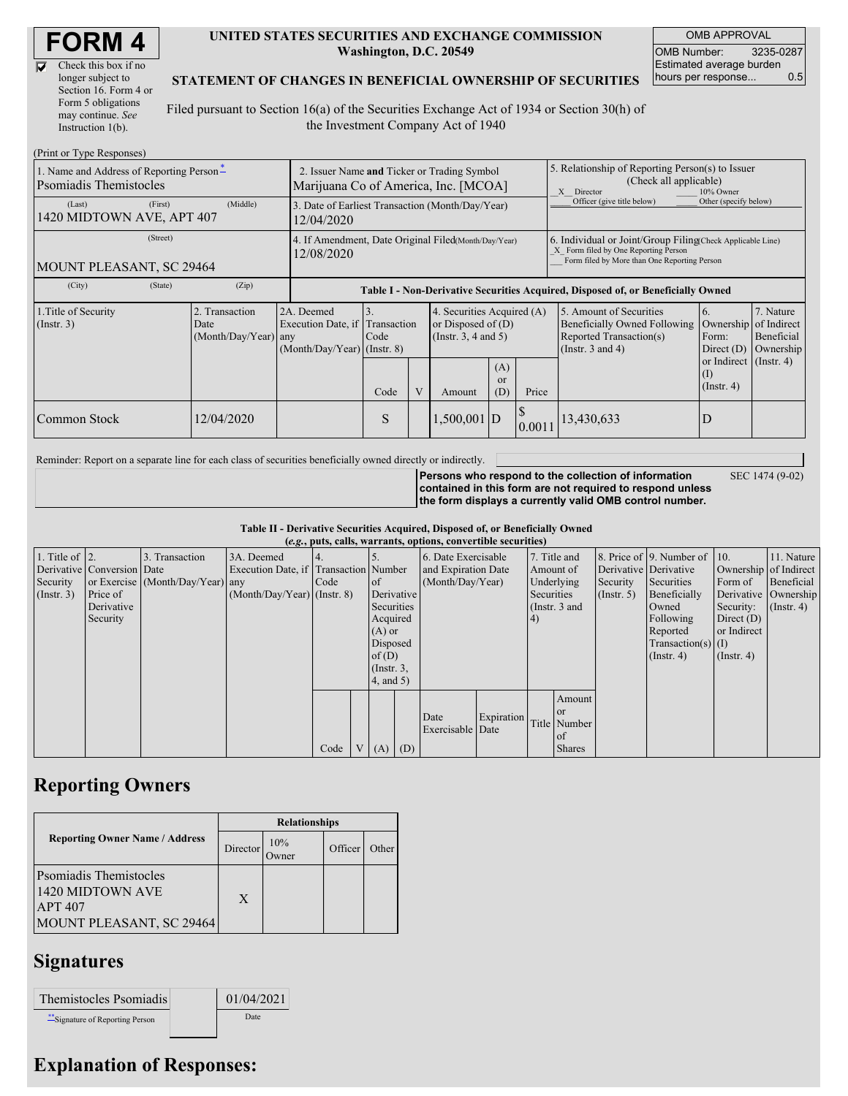| <b>FORM 4</b> |
|---------------|
|---------------|

| Check this box if no  |
|-----------------------|
| longer subject to     |
| Section 16. Form 4 or |
| Form 5 obligations    |
| may continue. See     |
| Instruction 1(b).     |

#### **UNITED STATES SECURITIES AND EXCHANGE COMMISSION Washington, D.C. 20549**

OMB APPROVAL OMB Number: 3235-0287 Estimated average burden hours per response... 0.5

### **STATEMENT OF CHANGES IN BENEFICIAL OWNERSHIP OF SECURITIES**

Filed pursuant to Section 16(a) of the Securities Exchange Act of 1934 or Section 30(h) of the Investment Company Act of 1940

| (Print or Type Responses)                                                  |                                                                                     |                                                                               |            |   |               |                                                                                       |                                                                                                                                                    |                                                                                                                    |                                                                                           |                                      |  |  |
|----------------------------------------------------------------------------|-------------------------------------------------------------------------------------|-------------------------------------------------------------------------------|------------|---|---------------|---------------------------------------------------------------------------------------|----------------------------------------------------------------------------------------------------------------------------------------------------|--------------------------------------------------------------------------------------------------------------------|-------------------------------------------------------------------------------------------|--------------------------------------|--|--|
| 1. Name and Address of Reporting Person-<br><b>P</b> somiadis Themistocles | 2. Issuer Name and Ticker or Trading Symbol<br>Marijuana Co of America, Inc. [MCOA] |                                                                               |            |   |               |                                                                                       | 5. Relationship of Reporting Person(s) to Issuer<br>(Check all applicable)<br>X Director<br>10% Owner                                              |                                                                                                                    |                                                                                           |                                      |  |  |
| (Last)<br>(First)<br>1420 MIDTOWN AVE, APT 407                             | 3. Date of Earliest Transaction (Month/Day/Year)<br>12/04/2020                      |                                                                               |            |   |               |                                                                                       | Officer (give title below)                                                                                                                         | Other (specify below)                                                                                              |                                                                                           |                                      |  |  |
| (Street)<br>MOUNT PLEASANT, SC 29464                                       | 4. If Amendment, Date Original Filed(Month/Day/Year)<br>12/08/2020                  |                                                                               |            |   |               |                                                                                       | 6. Individual or Joint/Group Filing(Check Applicable Line)<br>X Form filed by One Reporting Person<br>Form filed by More than One Reporting Person |                                                                                                                    |                                                                                           |                                      |  |  |
| (State)<br>(City)                                                          | (Zip)                                                                               |                                                                               |            |   |               |                                                                                       |                                                                                                                                                    | Table I - Non-Derivative Securities Acquired, Disposed of, or Beneficially Owned                                   |                                                                                           |                                      |  |  |
| 1. Title of Security<br>$($ Instr. 3 $)$                                   | 2. Transaction<br>Date<br>(Month/Day/Year) any                                      | 2A. Deemed<br>Execution Date, if Transaction<br>$(Month/Day/Year)$ (Instr. 8) | 3.<br>Code |   |               | 4. Securities Acquired (A)<br>or Disposed of $(D)$<br>(Instr. $3, 4$ and $5$ )<br>(A) |                                                                                                                                                    | 5. Amount of Securities<br><b>Beneficially Owned Following</b><br>Reported Transaction(s)<br>(Instr. $3$ and $4$ ) | <sup>6.</sup><br>Ownership of Indirect<br>Form:<br>Direct $(D)$<br>or Indirect (Instr. 4) | 7. Nature<br>Beneficial<br>Ownership |  |  |
|                                                                            |                                                                                     |                                                                               | Code       | V | Amount        | <b>or</b><br>(D)                                                                      | Price                                                                                                                                              |                                                                                                                    | (I)<br>$($ Instr. 4 $)$                                                                   |                                      |  |  |
| Common Stock                                                               | 12/04/2020                                                                          |                                                                               | S          |   | $1,500,001$ D |                                                                                       | 0.0011                                                                                                                                             | 13,430,633                                                                                                         |                                                                                           |                                      |  |  |

Reminder: Report on a separate line for each class of securities beneficially owned directly or indirectly.

**Persons who respond to the collection of information contained in this form are not required to respond unless the form displays a currently valid OMB control number.**

SEC 1474 (9-02)

**Table II - Derivative Securities Acquired, Disposed of, or Beneficially Owned**

| (e.g., puts, calls, warrants, options, convertible securities) |                            |                                  |                                       |      |  |                 |            |                          |            |                     |               |               |                              |                      |                       |         |            |
|----------------------------------------------------------------|----------------------------|----------------------------------|---------------------------------------|------|--|-----------------|------------|--------------------------|------------|---------------------|---------------|---------------|------------------------------|----------------------|-----------------------|---------|------------|
| 1. Title of $\vert$ 2.                                         |                            | 3. Transaction                   | 3A. Deemed                            |      |  |                 |            | 6. Date Exercisable      |            |                     | 7. Title and  |               | 8. Price of 9. Number of 10. |                      | 11. Nature            |         |            |
|                                                                | Derivative Conversion Date |                                  | Execution Date, if Transaction Number |      |  |                 |            | Amount of                |            | and Expiration Date |               |               | Derivative Derivative        |                      | Ownership of Indirect |         |            |
| Security                                                       |                            | or Exercise (Month/Day/Year) any |                                       | Code |  | of              |            | (Month/Day/Year)         |            |                     |               |               | Underlying                   | Security             | Securities            | Form of | Beneficial |
| $($ Instr. 3 $)$                                               | Price of                   |                                  | $(Month/Day/Year)$ (Instr. 8)         |      |  |                 | Derivative |                          |            | Securities          |               | $($ Instr. 5) | Beneficially                 | Derivative Ownership |                       |         |            |
|                                                                | Derivative                 |                                  |                                       |      |  | Securities      |            |                          |            |                     | (Instr. 3 and |               | Owned                        | Security:            | $($ Instr. 4)         |         |            |
|                                                                | Security                   |                                  |                                       |      |  | Acquired        |            |                          |            | 4)                  |               |               | Following                    | Direct $(D)$         |                       |         |            |
|                                                                |                            |                                  |                                       |      |  | $(A)$ or        |            |                          |            |                     |               |               | Reported                     | or Indirect          |                       |         |            |
|                                                                |                            |                                  |                                       |      |  | Disposed        |            |                          |            |                     |               |               | $Transaction(s)$ (I)         |                      |                       |         |            |
|                                                                |                            |                                  |                                       |      |  | of(D)           |            |                          |            |                     |               |               | $($ Instr. 4)                | $($ Instr. 4)        |                       |         |            |
|                                                                |                            |                                  |                                       |      |  | $($ Instr. $3,$ |            |                          |            |                     |               |               |                              |                      |                       |         |            |
|                                                                |                            |                                  |                                       |      |  | $4$ , and $5$ ) |            |                          |            |                     |               |               |                              |                      |                       |         |            |
|                                                                |                            |                                  |                                       |      |  |                 |            |                          |            |                     | Amount        |               |                              |                      |                       |         |            |
|                                                                |                            |                                  |                                       |      |  |                 |            |                          |            |                     | <sub>or</sub> |               |                              |                      |                       |         |            |
|                                                                |                            |                                  |                                       |      |  |                 |            | Date<br>Exercisable Date | Expiration |                     | Title Number  |               |                              |                      |                       |         |            |
|                                                                |                            |                                  |                                       |      |  |                 |            |                          |            |                     | of            |               |                              |                      |                       |         |            |
|                                                                |                            |                                  |                                       | Code |  | V(A)            | (D)        |                          |            |                     | <b>Shares</b> |               |                              |                      |                       |         |            |

## **Reporting Owners**

|                                                                                                 | <b>Relationships</b> |                     |         |       |  |  |  |  |
|-------------------------------------------------------------------------------------------------|----------------------|---------------------|---------|-------|--|--|--|--|
| <b>Reporting Owner Name / Address</b>                                                           | Director             | 10%<br><b>Jwner</b> | Officer | Other |  |  |  |  |
| <b>Psomiadis Themistocles</b><br>1420 MIDTOWN AVE<br><b>APT 407</b><br>MOUNT PLEASANT, SC 29464 | X                    |                     |         |       |  |  |  |  |

## **Signatures**

| Themistocles Psomiadis        | 01/04/2021 |
|-------------------------------|------------|
| Signature of Reporting Person | Date       |

# **Explanation of Responses:**